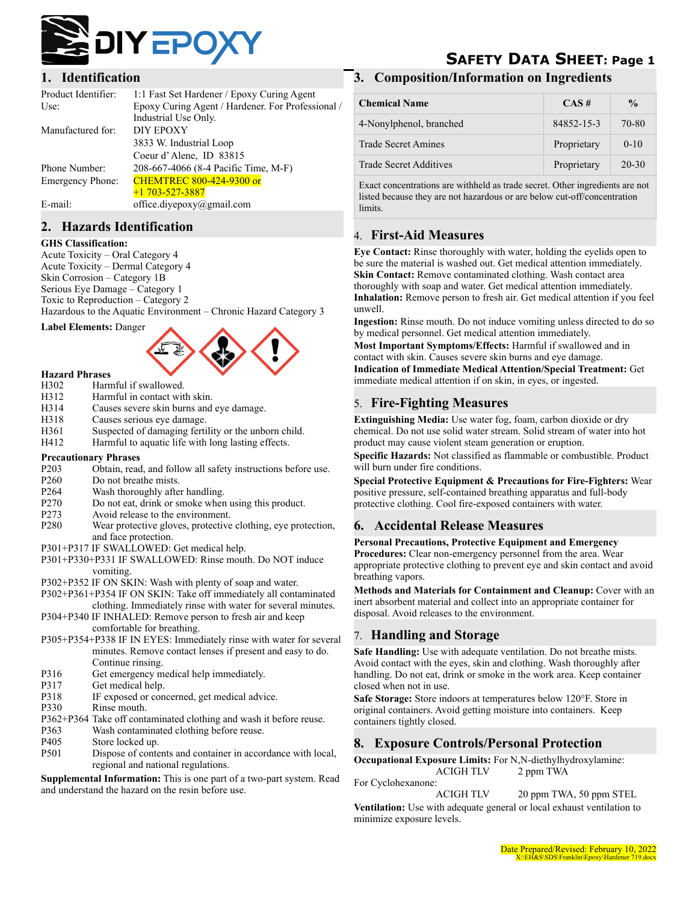

#### **1. Identification**

| Product Identifier: | 1:1 Fast Set Hardener / Epoxy Curing Agent        |
|---------------------|---------------------------------------------------|
| Use:                | Epoxy Curing Agent / Hardener. For Professional / |
|                     | Industrial Use Only.                              |
| Manufactured for:   | DIY EPOXY                                         |
|                     | 3833 W. Industrial Loop                           |
|                     | Coeur d'Alene, ID 83815                           |
| Phone Number:       | 208-667-4066 (8-4 Pacific Time, M-F)              |
| Emergency Phone:    | <b>CHEMTREC 800-424-9300 or</b>                   |
|                     | $+1$ 703-527-3887                                 |
| E-mail:             | office.divepoxy@gmail.com                         |
|                     |                                                   |

#### **2. Hazards Identification**

#### **GHS Classification:**

Acute Toxicity – Oral Category 4 Acute Toxicity – Dermal Category 4 Skin Corrosion – Category 1B Serious Eye Damage – Category 1 Toxic to Reproduction – Category 2 Hazardous to the Aquatic Environment – Chronic Hazard Category 3

**Label Elements:** Danger



- **Hazard Phrases** H302 Harmful if swallowed.
- H312 Harmful in contact with skin.
- H314 Causes severe skin burns and eye damage.
- H318 Causes serious eye damage.
- 
- H361 Suspected of damaging fertility or the unborn child.
- H412 Harmful to aquatic life with long lasting effects.

#### **Precautionary Phrases**

- P203 Obtain, read, and follow all safety instructions before use.
- P<sub>260</sub> Do not breathe mists.
- P264 Wash thoroughly after handling.
- P270 Do not eat, drink or smoke when using this product.
- P273 Avoid release to the environment.
- P280 Wear protective gloves, protective clothing, eye protection, and face protection.
- P301+P317 IF SWALLOWED: Get medical help.
- P301+P330+P331 IF SWALLOWED: Rinse mouth. Do NOT induce vomiting.
- P302+P352 IF ON SKIN: Wash with plenty of soap and water.
- P302+P361+P354 IF ON SKIN: Take off immediately all contaminated
- clothing. Immediately rinse with water for several minutes. P304+P340 IF INHALED: Remove person to fresh air and keep comfortable for breathing.
- P305+P354+P338 IF IN EYES: Immediately rinse with water for several minutes. Remove contact lenses if present and easy to do. Continue rinsing.
- P316 Get emergency medical help immediately.
- P317 Get medical help.
- P318 IF exposed or concerned, get medical advice.
- P330 Rinse mouth.
- P362+P364 Take off contaminated clothing and wash it before reuse.
- P363 Wash contaminated clothing before reuse.
- P405 Store locked up.
- P501 Dispose of contents and container in accordance with local, regional and national regulations.

**Supplemental Information:** This is one part of a two-part system. Read and understand the hazard on the resin before use.

# **SAFETY DATA SHEET: Page 1**

#### **3. Composition/Information on Ingredients**

| <b>Chemical Name</b>          | CAS#        | $\frac{0}{0}$ |
|-------------------------------|-------------|---------------|
| 4-Nonylphenol, branched       | 84852-15-3  | 70-80         |
| <b>Trade Secret Amines</b>    | Proprietary | $0-10$        |
| <b>Trade Secret Additives</b> | Proprietary | 20-30         |

Exact concentrations are withheld as trade secret. Other ingredients are not listed because they are not hazardous or are below cut-off/concentration limits.

## 4. **First-Aid Measures**

**Eye Contact:** Rinse thoroughly with water, holding the eyelids open to be sure the material is washed out. Get medical attention immediately. **Skin Contact:** Remove contaminated clothing. Wash contact area thoroughly with soap and water. Get medical attention immediately. **Inhalation:** Remove person to fresh air. Get medical attention if you feel unwell.

**Ingestion:** Rinse mouth. Do not induce vomiting unless directed to do so by medical personnel. Get medical attention immediately.

**Most Important Symptoms/Effects:** Harmful if swallowed and in contact with skin. Causes severe skin burns and eye damage. **Indication of Immediate Medical Attention/Special Treatment:** Get immediate medical attention if on skin, in eyes, or ingested.

# 5. **Fire-Fighting Measures**

**Extinguishing Media:** Use water fog, foam, carbon dioxide or dry chemical. Do not use solid water stream. Solid stream of water into hot product may cause violent steam generation or eruption.

**Specific Hazards:** Not classified as flammable or combustible. Product will burn under fire conditions.

**Special Protective Equipment & Precautions for Fire-Fighters:** Wear positive pressure, self-contained breathing apparatus and full-body protective clothing. Cool fire-exposed containers with water.

## **6. Accidental Release Measures**

#### **Personal Precautions, Protective Equipment and Emergency**

**Procedures:** Clear non-emergency personnel from the area. Wear appropriate protective clothing to prevent eye and skin contact and avoid breathing vapors.

**Methods and Materials for Containment and Cleanup:** Cover with an inert absorbent material and collect into an appropriate container for disposal. Avoid releases to the environment.

## 7. **Handling and Storage**

**Safe Handling:** Use with adequate ventilation. Do not breathe mists. Avoid contact with the eyes, skin and clothing. Wash thoroughly after handling. Do not eat, drink or smoke in the work area. Keep container closed when not in use.

**Safe Storage:** Store indoors at temperatures below 120°F. Store in original containers. Avoid getting moisture into containers. Keep containers tightly closed.

# **8. Exposure Controls/Personal Protection**

**Occupational Exposure Limits:** For N,N-diethylhydroxylamine: ACIGH TLV 2 ppm TWA

For Cyclohexanone:

ACIGH TLV 20 ppm TWA, 50 ppm STEL

**Ventilation:** Use with adequate general or local exhaust ventilation to minimize exposure levels.